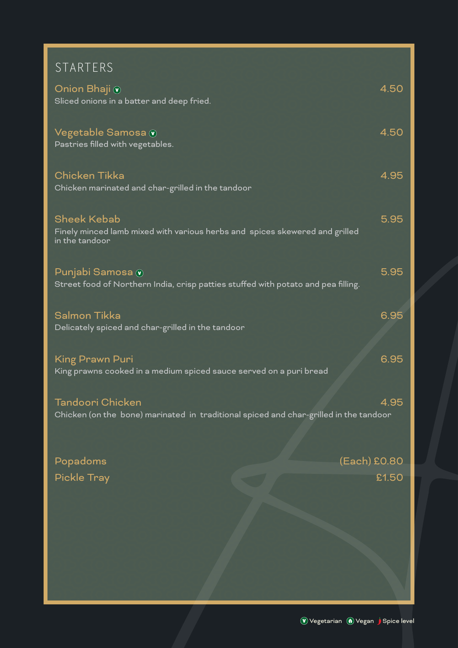| STARTERS |  |
|----------|--|
|          |  |

| Onion Bhaji <mark>⊙</mark><br>Sliced onions in a batter and deep fried.                                             | 4.50  |
|---------------------------------------------------------------------------------------------------------------------|-------|
| Vegetable Samosa v<br>Pastries filled with vegetables.                                                              | 4.50  |
| <b>Chicken Tikka</b><br>Chicken marinated and char-grilled in the tandoor                                           | 4.95  |
| <b>Sheek Kebab</b><br>Finely minced lamb mixed with various herbs and spices skewered and grilled<br>in the tandoor | 5.95  |
| Punjabi Samosa v<br>Street food of Northern India, crisp patties stuffed with potato and pea filling.               | 5.95  |
| <b>Salmon Tikka</b><br>Delicately spiced and char-grilled in the tandoor                                            | 6.95  |
| King Prawn Puri<br>King prawns cooked in a medium spiced sauce served on a puri bread                               | 6.95  |
| Tandoori Chicken<br>Chicken (on the bone) marinated in traditional spiced and char-grilled in the tandoor           | 4.95  |
| (Each) £0.80<br>Popadoms                                                                                            |       |
| <b>Pickle Tray</b>                                                                                                  | £1.50 |
|                                                                                                                     |       |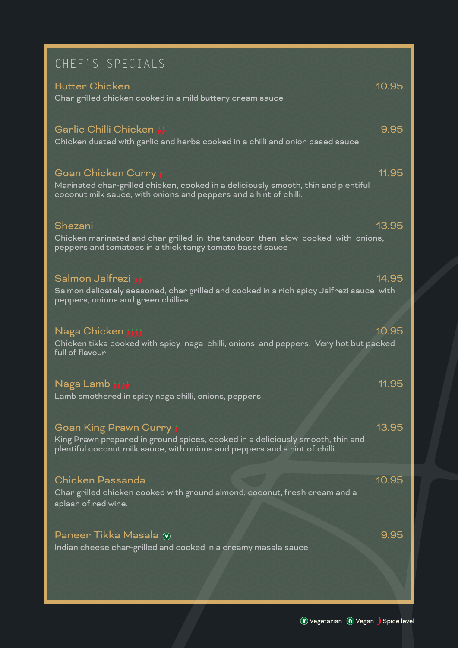| CHEF'S SPECIALS                                                                                                                                                                          |       |
|------------------------------------------------------------------------------------------------------------------------------------------------------------------------------------------|-------|
| <b>Butter Chicken</b><br>Char grilled chicken cooked in a mild buttery cream sauce                                                                                                       | 10.95 |
| Garlic Chilli Chicken فز<br>Chicken dusted with garlic and herbs cooked in a chilli and onion based sauce                                                                                | 9.95  |
| Goan Chicken Curry j<br>Marinated char-grilled chicken, cooked in a deliciously smooth, thin and plentiful<br>coconut milk sauce, with onions and peppers and a hint of chilli.          | 11.95 |
| Shezani<br>Chicken marinated and char grilled in the tandoor then slow cooked with onions,<br>peppers and tomatoes in a thick tangy tomato based sauce                                   | 13.95 |
| Salmon Jalfrezi jj<br>Salmon delicately seasoned, char grilled and cooked in a rich spicy Jalfrezi sauce with<br>peppers, onions and green chillies                                      | 14.95 |
| Naga Chicken زززز<br>Chicken tikka cooked with spicy naga chilli, onions and peppers. Very hot but packed<br>full of flavour                                                             | 10.95 |
| Naga Lamb أرززز<br>Lamb smothered in spicy naga chilli, onions, peppers.                                                                                                                 | 11.95 |
| Goan King Prawn Curry j<br>King Prawn prepared in ground spices, cooked in a deliciously smooth, thin and<br>plentiful coconut milk sauce, with onions and peppers and a hint of chilli. | 13.95 |
| <b>Chicken Passanda</b><br>Char grilled chicken cooked with ground almond, coconut, fresh cream and a<br>splash of red wine.                                                             | 10.95 |
| Paneer Tikka Masala v<br>Indian cheese char-grilled and cooked in a creamy masala sauce                                                                                                  | 9.95  |
|                                                                                                                                                                                          |       |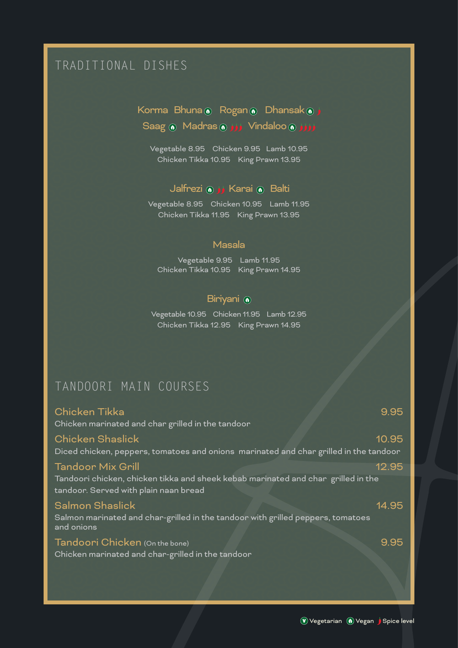# TRADITIONAL DISHES

## Korma Bhuna @ Rogan @ Dhansak @ j Saag @ Madras @ ززنز ( Saag @ Madras @

Vegetable 8.95 Chicken 9.95 Lamb 10.95 Chicken Tikka 10.95 King Prawn 13.95

### Jalfrezi (a j j Karai (a Balti

Vegetable 8.95 Chicken 10.95 Lamb 11.95 Chicken Tikka 11.95 King Prawn 13.95

#### Masala

Vegetable 9.95 Lamb 11.95 Chicken Tikka 10.95 King Prawn 14.95

### Biriyani (0)

Vegetable 10.95 Chicken 11.95 Lamb 12.95 Chicken Tikka 12.95 King Prawn 14.95

### TANDOORI MAIN COURSES

## Chicken Tikka 9.95 Chicken marinated and char grilled in the tandoor Chicken Shaslick 10.95 Diced chicken, peppers, tomatoes and onions marinated and char grilled in the tandoor Tandoor Mix Grill 12.95 Tandoori chicken, chicken tikka and sheek kebab marinated and char grilled in the tandoor. Served with plain naan bread Salmon Shaslick 14.95 Salmon marinated and char-grilled in the tandoor with grilled peppers, tomatoes and onions Tandoori Chicken (On the bone) 9.95 Chicken marinated and char-grilled in the tandoor